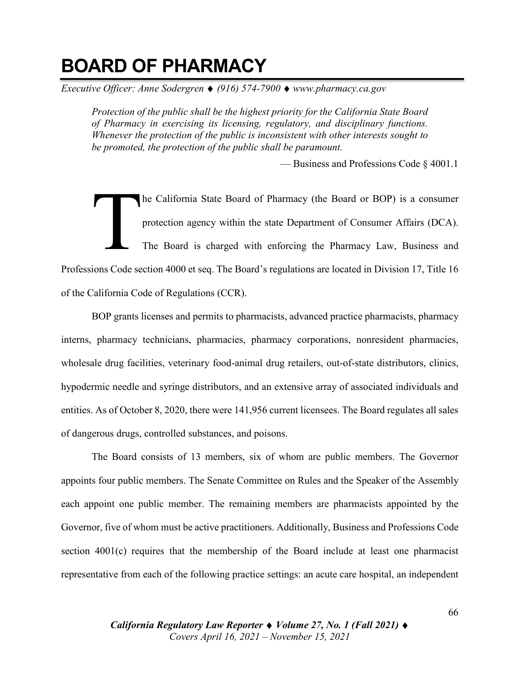# **BOARD OF PHARMACY**

*Executive Officer: Anne Sodergren* ♦ *(916) 574-7900* ♦ *www.pharmacy.ca.gov*

*Protection of the public shall be the highest priority for the California State Board of Pharmacy in exercising its licensing, regulatory, and disciplinary functions. Whenever the protection of the public is inconsistent with other interests sought to be promoted, the protection of the public shall be paramount.*

— Business and Professions Code § 4001.1

he California State Board of Pharmacy (the Board or BOP) is a consumer protection agency within the state Department of Consumer Affairs (DCA). The Board is charged with enforcing the Pharmacy Law, Business and Professions Code section 4000 et seq. The Board's regulations are located in Division 17, Title 16 of the California Code of Regulations (CCR). T

BOP grants licenses and permits to pharmacists, advanced practice pharmacists, pharmacy interns, pharmacy technicians, pharmacies, pharmacy corporations, nonresident pharmacies, wholesale drug facilities, veterinary food-animal drug retailers, out-of-state distributors, clinics, hypodermic needle and syringe distributors, and an extensive array of associated individuals and entities. As of October 8, 2020, there were 141,956 current licensees. The Board regulates all sales of dangerous drugs, controlled substances, and poisons.

The Board consists of 13 members, six of whom are public members. The Governor appoints four public members. The Senate Committee on Rules and the Speaker of the Assembly each appoint one public member. The remaining members are pharmacists appointed by the Governor, five of whom must be active practitioners. Additionally, Business and Professions Code section 4001(c) requires that the membership of the Board include at least one pharmacist representative from each of the following practice settings: an acute care hospital, an independent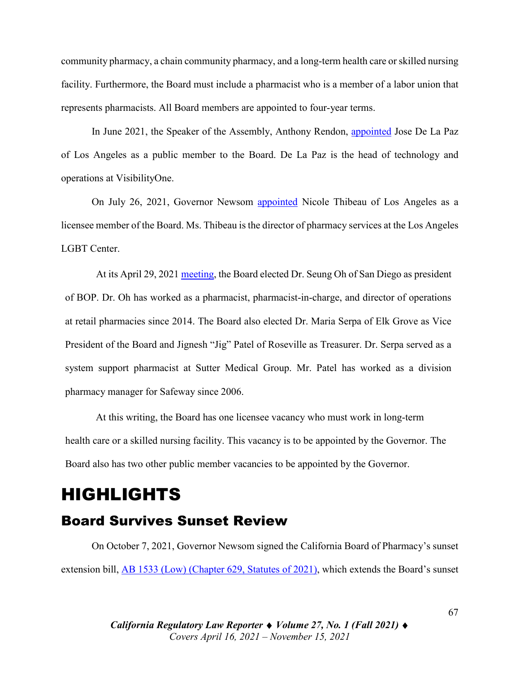community pharmacy, a chain community pharmacy, and a long-term health care orskilled nursing facility. Furthermore, the Board must include a pharmacist who is a member of a labor union that represents pharmacists. All Board members are appointed to four-year terms.

In June 2021, the Speaker of the Assembly, Anthony Rendon, [appointed](https://perma.cc/B29W-EA64) Jose De La Paz of Los Angeles as a public member to the Board. De La Paz is the head of technology and operations at VisibilityOne.

On July 26, 2021, Governor Newsom [appointed](https://perma.cc/B29W-EA64) Nicole Thibeau of Los Angeles as a licensee member of the Board. Ms. Thibeau is the director of pharmacy services at the Los Angeles LGBT Center.

At its April 29, 2021 [meeting,](https://perma.cc/4XJR-6RM5) the Board elected Dr. Seung Oh of San Diego as president of BOP. Dr. Oh has worked as a pharmacist, pharmacist-in-charge, and director of operations at retail pharmacies since 2014. The Board also elected Dr. Maria Serpa of Elk Grove as Vice President of the Board and Jignesh "Jig" Patel of Roseville as Treasurer. Dr. Serpa served as a system support pharmacist at Sutter Medical Group. Mr. Patel has worked as a division pharmacy manager for Safeway since 2006.

At this writing, the Board has one licensee vacancy who must work in long-term health care or a skilled nursing facility. This vacancy is to be appointed by the Governor. The Board also has two other public member vacancies to be appointed by the Governor.

# HIGHLIGHTS

#### Board Survives Sunset Review

On October 7, 2021, Governor Newsom signed the California Board of Pharmacy's sunset extension bill, [AB 1533 \(Low\) \(Chapter 629, Statutes of 2021\),](https://leginfo.legislature.ca.gov/faces/billNavClient.xhtml?bill_id=202120220AB1533) which extends the Board's sunset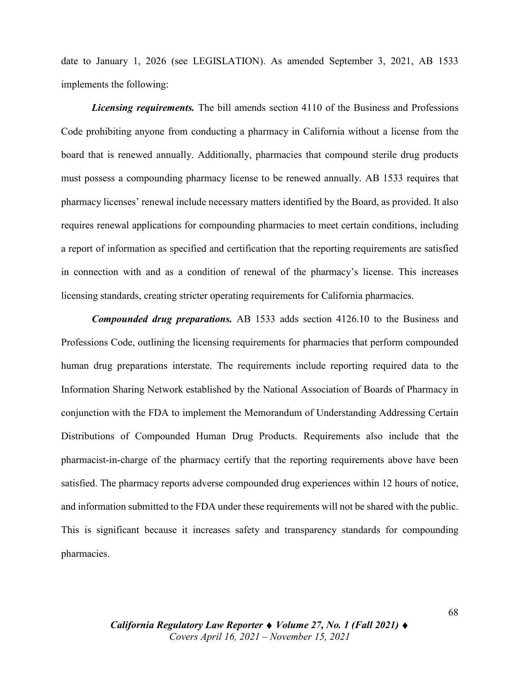date to January 1, 2026 (see LEGISLATION). As amended September 3, 2021, AB 1533 implements the following:

*Licensing requirements.* The bill amends section 4110 of the Business and Professions Code prohibiting anyone from conducting a pharmacy in California without a license from the board that is renewed annually. Additionally, pharmacies that compound sterile drug products must possess a compounding pharmacy license to be renewed annually. AB 1533 requires that pharmacy licenses' renewal include necessary matters identified by the Board, as provided. It also requires renewal applications for compounding pharmacies to meet certain conditions, including a report of information as specified and certification that the reporting requirements are satisfied in connection with and as a condition of renewal of the pharmacy's license. This increases licensing standards, creating stricter operating requirements for California pharmacies.

*Compounded drug preparations.* AB 1533 adds section 4126.10 to the Business and Professions Code, outlining the licensing requirements for pharmacies that perform compounded human drug preparations interstate. The requirements include reporting required data to the Information Sharing Network established by the National Association of Boards of Pharmacy in conjunction with the FDA to implement the Memorandum of Understanding Addressing Certain Distributions of Compounded Human Drug Products. Requirements also include that the pharmacist-in-charge of the pharmacy certify that the reporting requirements above have been satisfied. The pharmacy reports adverse compounded drug experiences within 12 hours of notice, and information submitted to the FDA under these requirements will not be shared with the public. This is significant because it increases safety and transparency standards for compounding pharmacies.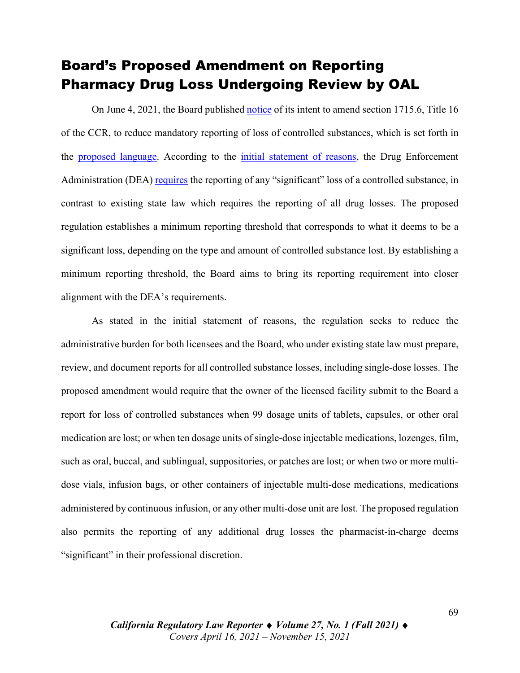#### Board's Proposed Amendment on Reporting Pharmacy Drug Loss Undergoing Review by OAL

On June 4, 2021, the Board published [notice](https://perma.cc/36LN-H3YW) of its intent to amend section 1715.6, Title 16 of the CCR, to reduce mandatory reporting of loss of controlled substances, which is set forth in the proposed [language.](https://perma.cc/6LU9-57WB) According to the initial [statement](https://perma.cc/EX4K-JKWM) of reasons, the Drug Enforcement Administration (DEA) [requires](https://perma.cc/859P-YCUC) the reporting of any "significant" loss of a controlled substance, in contrast to existing state law which requires the reporting of all drug losses. The proposed regulation establishes a minimum reporting threshold that corresponds to what it deems to be a significant loss, depending on the type and amount of controlled substance lost. By establishing a minimum reporting threshold, the Board aims to bring its reporting requirement into closer alignment with the DEA's requirements.

As stated in the initial statement of reasons, the regulation seeks to reduce the administrative burden for both licensees and the Board, who under existing state law must prepare, review, and document reports for all controlled substance losses, including single-dose losses. The proposed amendment would require that the owner of the licensed facility submit to the Board a report for loss of controlled substances when 99 dosage units of tablets, capsules, or other oral medication are lost; or when ten dosage units of single-dose injectable medications, lozenges, film, such as oral, buccal, and sublingual, suppositories, or patches are lost; or when two or more multidose vials, infusion bags, or other containers of injectable multi-dose medications, medications administered by continuous infusion, or any other multi-dose unit are lost. The proposed regulation also permits the reporting of any additional drug losses the pharmacist-in-charge deems "significant" in their professional discretion.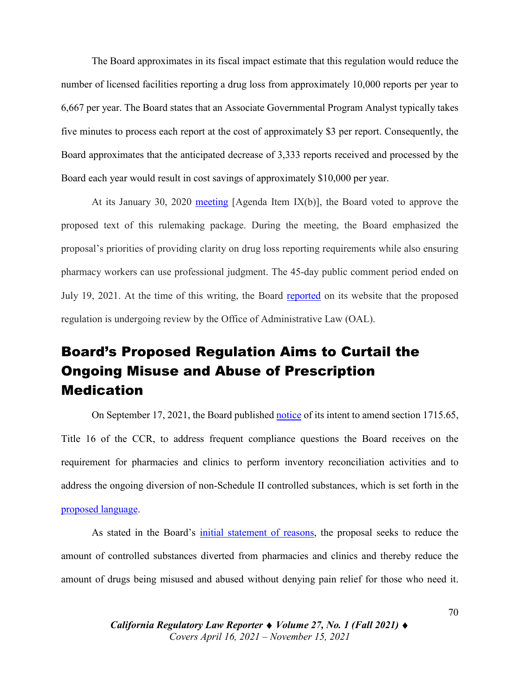The Board approximates in its fiscal impact estimate that this regulation would reduce the number of licensed facilities reporting a drug loss from approximately 10,000 reports per year to 6,667 per year. The Board states that an Associate Governmental Program Analyst typically takes five minutes to process each report at the cost of approximately \$3 per report. Consequently, the Board approximates that the anticipated decrease of 3,333 reports received and processed by the Board each year would result in cost savings of approximately \$10,000 per year.

At its January 30, 2020 [meeting](https://perma.cc/4LLA-XKMA)  $[A$ genda Item  $[X(b)]$ , the Board voted to approve the proposed text of this rulemaking package. During the meeting, the Board emphasized the proposal's priorities of providing clarity on drug loss reporting requirements while also ensuring pharmacy workers can use professional judgment. The 45-day public comment period ended on July 19, 2021. At the time of this writing, the Board [reported](https://perma.cc/QP4A-ECGY) on its website that the proposed regulation is undergoing review by the Office of Administrative Law (OAL).

#### Board's Proposed Regulation Aims to Curtail the Ongoing Misuse and Abuse of Prescription **Medication**

On September 17, 2021, the Board published [notice](https://perma.cc/P574-LK6D) of its intent to amend section 1715.65, Title 16 of the CCR, to address frequent compliance questions the Board receives on the requirement for pharmacies and clinics to perform inventory reconciliation activities and to address the ongoing diversion of non-Schedule II controlled substances, which is set forth in the proposed [language.](https://perma.cc/8PBQ-9SZF)

As stated in the Board's initial [statement](https://perma.cc/VF3Z-FDMF) of reasons, the proposal seeks to reduce the amount of controlled substances diverted from pharmacies and clinics and thereby reduce the amount of drugs being misused and abused without denying pain relief for those who need it.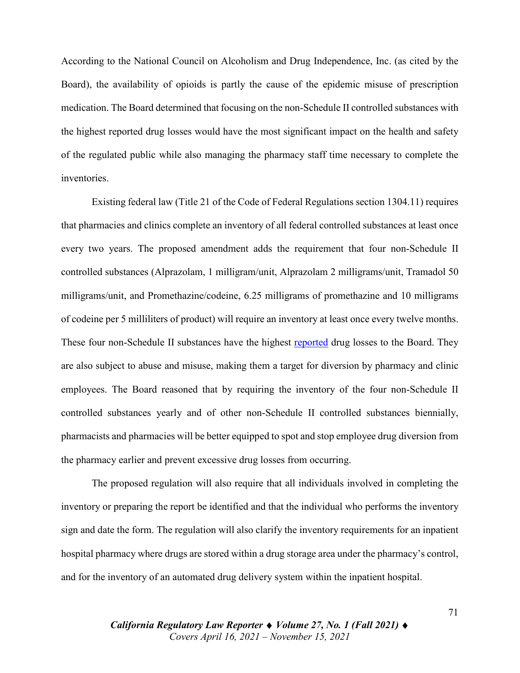According to the National Council on Alcoholism and Drug Independence, Inc. (as cited by the Board), the availability of opioids is partly the cause of the epidemic misuse of prescription medication. The Board determined that focusing on the non-Schedule II controlled substances with the highest reported drug losses would have the most significant impact on the health and safety of the regulated public while also managing the pharmacy staff time necessary to complete the inventories.

Existing federal law (Title 21 of the Code of Federal Regulations section 1304.11) requires that pharmacies and clinics complete an inventory of all federal controlled substances at least once every two years. The proposed amendment adds the requirement that four non-Schedule II controlled substances (Alprazolam, 1 milligram/unit, Alprazolam 2 milligrams/unit, Tramadol 50 milligrams/unit, and Promethazine/codeine, 6.25 milligrams of promethazine and 10 milligrams of codeine per 5 milliliters of product) will require an inventory at least once every twelve months. These four non-Schedule II substances have the highest [reported](https://perma.cc/B3NP-KPSD) drug losses to the Board. They are also subject to abuse and misuse, making them a target for diversion by pharmacy and clinic employees. The Board reasoned that by requiring the inventory of the four non-Schedule II controlled substances yearly and of other non-Schedule II controlled substances biennially, pharmacists and pharmacies will be better equipped to spot and stop employee drug diversion from the pharmacy earlier and prevent excessive drug losses from occurring.

The proposed regulation will also require that all individuals involved in completing the inventory or preparing the report be identified and that the individual who performs the inventory sign and date the form. The regulation will also clarify the inventory requirements for an inpatient hospital pharmacy where drugs are stored within a drug storage area under the pharmacy's control, and for the inventory of an automated drug delivery system within the inpatient hospital.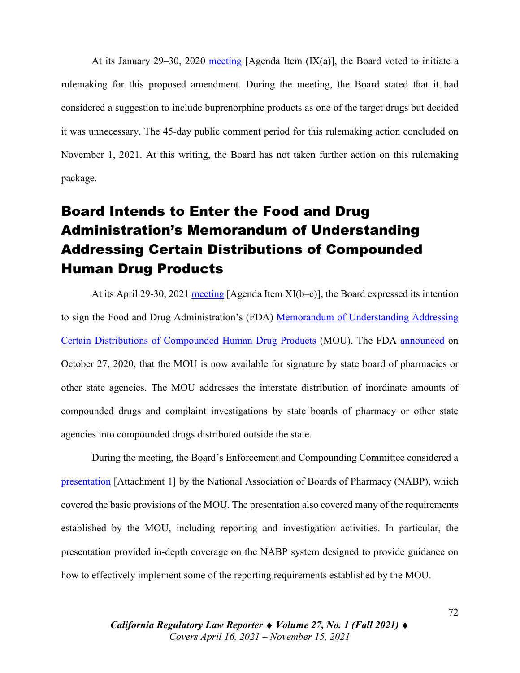At its January 29–30, 2020 [meeting](https://perma.cc/YLT3-VWNU) [Agenda Item  $(IX(a)]$ , the Board voted to initiate a rulemaking for this proposed amendment. During the meeting, the Board stated that it had considered a suggestion to include buprenorphine products as one of the target drugs but decided it was unnecessary. The 45-day public comment period for this rulemaking action concluded on November 1, 2021. At this writing, the Board has not taken further action on this rulemaking package.

# Board Intends to Enter the Food and Drug Administration's Memorandum of Understanding Addressing Certain Distributions of Compounded Human Drug Products

At its April 29-30, 2021 [meeting](https://perma.cc/TQ3M-34EP) [Agenda Item  $XI(b-c)$ ], the Board expressed its intention to sign the Food and Drug Administration's (FDA) Memorandum of [Understanding](https://perma.cc/DK3K-4CWG) Addressing Certain Distributions of [Compounded](https://perma.cc/DK3K-4CWG) Human Drug Products (MOU). The FDA [announced](https://perma.cc/JT6Q-XFAA) on October 27, 2020, that the MOU is now available for signature by state board of pharmacies or other state agencies. The MOU addresses the interstate distribution of inordinate amounts of compounded drugs and complaint investigations by state boards of pharmacy or other state agencies into compounded drugs distributed outside the state.

During the meeting, the Board's Enforcement and Compounding Committee considered a [presentation](https://perma.cc/7N8A-AYMS) [Attachment 1] by the National Association of Boards of Pharmacy (NABP), which covered the basic provisions of the MOU. The presentation also covered many of the requirements established by the MOU, including reporting and investigation activities. In particular, the presentation provided in-depth coverage on the NABP system designed to provide guidance on how to effectively implement some of the reporting requirements established by the MOU.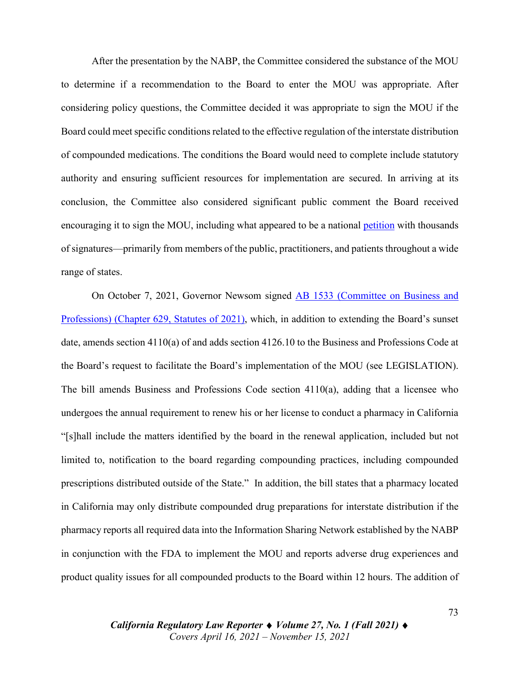After the presentation by the NABP, the Committee considered the substance of the MOU to determine if a recommendation to the Board to enter the MOU was appropriate. After considering policy questions, the Committee decided it was appropriate to sign the MOU if the Board could meet specific conditions related to the effective regulation of the interstate distribution of compounded medications. The conditions the Board would need to complete include statutory authority and ensuring sufficient resources for implementation are secured. In arriving at its conclusion, the Committee also considered significant public comment the Board received encouraging it to sign the MOU, including what appeared to be a national [petition](https://www.pharmacy.ca.gov/meetings/agendas/2021/21_apr_bd_mat_xi_2.pdf) with thousands of signatures—primarily from members of the public, practitioners, and patients throughout a wide range of states.

On October 7, 2021, Governor Newsom signed AB 1533 [\(Committee](https://leginfo.legislature.ca.gov/faces/billTextClient.xhtml?bill_id=202120220AB1533) on Business and [Professions\)](https://leginfo.legislature.ca.gov/faces/billTextClient.xhtml?bill_id=202120220AB1533) (Chapter 629, Statutes of 2021), which, in addition to extending the Board's sunset date, amends section 4110(a) of and adds section 4126.10 to the Business and Professions Code at the Board's request to facilitate the Board's implementation of the MOU (see LEGISLATION). The bill amends Business and Professions Code section 4110(a), adding that a licensee who undergoes the annual requirement to renew his or her license to conduct a pharmacy in California "[s]hall include the matters identified by the board in the renewal application, included but not limited to, notification to the board regarding compounding practices, including compounded prescriptions distributed outside of the State." In addition, the bill states that a pharmacy located in California may only distribute compounded drug preparations for interstate distribution if the pharmacy reports all required data into the Information Sharing Network established by the NABP in conjunction with the FDA to implement the MOU and reports adverse drug experiences and product quality issues for all compounded products to the Board within 12 hours. The addition of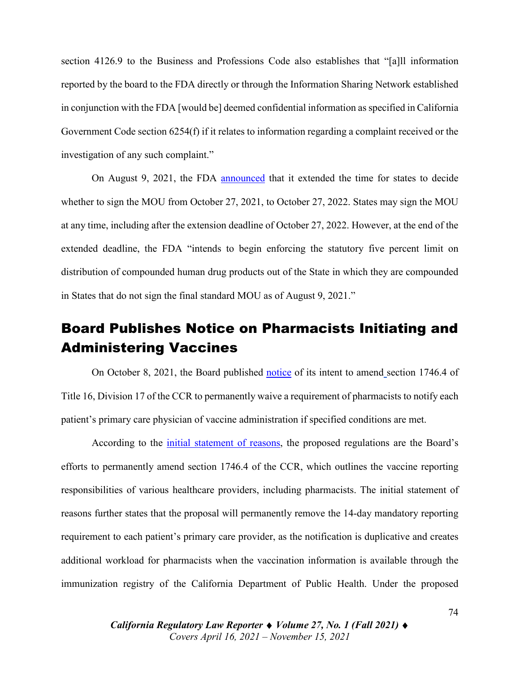section 4126.9 to the Business and Professions Code also establishes that "[a]ll information reported by the board to the FDA directly or through the Information Sharing Network established in conjunction with the FDA [would be] deemed confidential information asspecified in California Government Code section 6254(f) if it relates to information regarding a complaint received or the investigation of any such complaint."

On August 9, 2021, the FDA [announced](https://perma.cc/69R8-TL67) that it extended the time for states to decide whether to sign the MOU from October 27, 2021, to October 27, 2022. States may sign the MOU at any time, including after the extension deadline of October 27, 2022. However, at the end of the extended deadline, the FDA "intends to begin enforcing the statutory five percent limit on distribution of compounded human drug products out of the State in which they are compounded in States that do not sign the final standard MOU as of August 9, 2021."

#### Board Publishes Notice on Pharmacists Initiating and Administering Vaccines

On October 8, 2021, the Board published [notice](https://perma.cc/64WL-NY36) of its intent to amend section 1746.4 of Title 16, Division 17 of the CCR to permanently waive a requirement of pharmacists to notify each patient's primary care physician of vaccine administration if specified conditions are met.

According to the initial [statement](https://perma.cc/7UJD-SDDC) of reasons, the proposed regulations are the Board's efforts to permanently amend section 1746.4 of the CCR, which outlines the vaccine reporting responsibilities of various healthcare providers, including pharmacists. The initial statement of reasons further states that the proposal will permanently remove the 14-day mandatory reporting requirement to each patient's primary care provider, as the notification is duplicative and creates additional workload for pharmacists when the vaccination information is available through the immunization registry of the California Department of Public Health. Under the proposed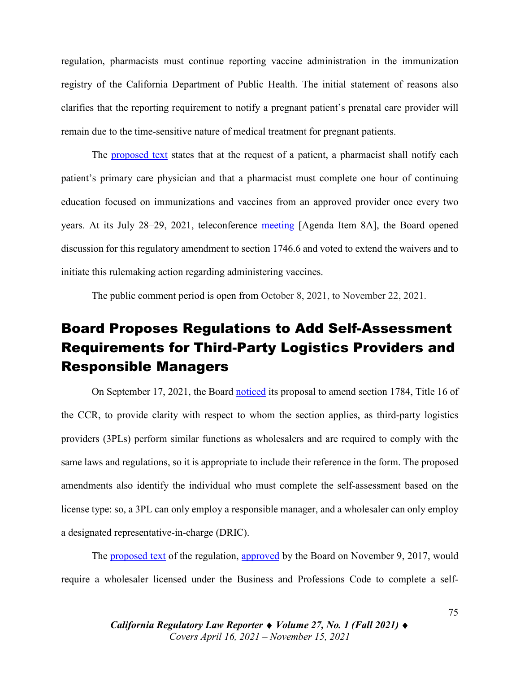regulation, pharmacists must continue reporting vaccine administration in the immunization registry of the California Department of Public Health. The initial statement of reasons also clarifies that the reporting requirement to notify a pregnant patient's prenatal care provider will remain due to the time-sensitive nature of medical treatment for pregnant patients.

The [proposed](https://perma.cc/QH7N-E7QT) text states that at the request of a patient, a pharmacist shall notify each patient's primary care physician and that a pharmacist must complete one hour of continuing education focused on immunizations and vaccines from an approved provider once every two years. At its July 28–29, 2021, teleconference [meeting](https://perma.cc/Z8XE-4BGK) [Agenda Item 8A], the Board opened discussion for this regulatory amendment to section 1746.6 and voted to extend the waivers and to initiate this rulemaking action regarding administering vaccines.

The public comment period is open from October 8, 2021, to November 22, 2021.

# Board Proposes Regulations to Add Self-Assessment Requirements for Third-Party Logistics Providers and Responsible Managers

On September 17, 2021, the Board [noticed](https://perma.cc/7RNZ-PPHC) its proposal to amend section 1784, Title 16 of the CCR, to provide clarity with respect to whom the section applies, as third-party logistics providers (3PLs) perform similar functions as wholesalers and are required to comply with the same laws and regulations, so it is appropriate to include their reference in the form. The proposed amendments also identify the individual who must complete the self-assessment based on the license type: so, a 3PL can only employ a responsible manager, and a wholesaler can only employ a designated representative-in-charge (DRIC).

The [proposed](https://perma.cc/9YQU-XW79) text of the regulation, [approved](https://perma.cc/LL2Y-PZZ9) by the Board on November 9, 2017, would require a wholesaler licensed under the Business and Professions Code to complete a self-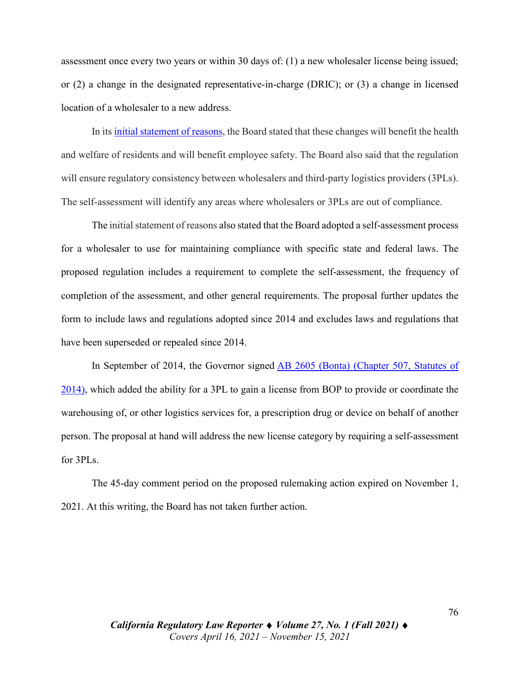assessment once every two years or within 30 days of: (1) a new wholesaler license being issued; or (2) a change in the designated representative-in-charge (DRIC); or (3) a change in licensed location of a wholesaler to a new address.

In its initial [statement](https://perma.cc/3AK6-C8DS) of reasons, the Board stated that these changes will benefit the health and welfare of residents and will benefit employee safety. The Board also said that the regulation will ensure regulatory consistency between wholesalers and third-party logistics providers (3PLs). The self-assessment will identify any areas where wholesalers or 3PLs are out of compliance.

The initial statement of reasons also stated that the Board adopted a self-assessment process for a wholesaler to use for maintaining compliance with specific state and federal laws. The proposed regulation includes a requirement to complete the self-assessment, the frequency of completion of the assessment, and other general requirements. The proposal further updates the form to include laws and regulations adopted since 2014 and excludes laws and regulations that have been superseded or repealed since 2014.

In September of 2014, the Governor signed AB 2605 (Bonta) [\(Chapter](https://leginfo.legislature.ca.gov/faces/billNavClient.xhtml?bill_id=201320140AB2605) 507, Statutes of [2014\),](https://leginfo.legislature.ca.gov/faces/billNavClient.xhtml?bill_id=201320140AB2605) which added the ability for a 3PL to gain a license from BOP to provide or coordinate the warehousing of, or other logistics services for, a prescription drug or device on behalf of another person. The proposal at hand will address the new license category by requiring a self-assessment for 3PLs.

The 45-day comment period on the proposed rulemaking action expired on November 1, 2021. At this writing, the Board has not taken further action.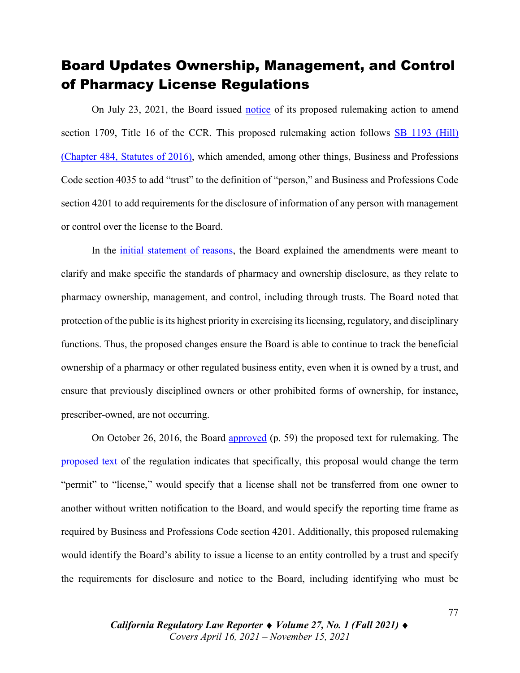#### Board Updates Ownership, Management, and Control of Pharmacy License Regulations

On July 23, 2021, the Board issued [notice](https://perma.cc/7F9T-PUFJ) of its proposed rulemaking action to amend section 1709, Title 16 of the CCR. This proposed rulemaking action follows SB 1193 [\(Hill\)](https://leginfo.legislature.ca.gov/faces/billTextClient.xhtml?bill_id=201520160SB1193) [\(Chapter](https://leginfo.legislature.ca.gov/faces/billTextClient.xhtml?bill_id=201520160SB1193) 484, Statutes of 2016), which amended, among other things, Business and Professions Code section 4035 to add "trust" to the definition of "person," and Business and Professions Code section 4201 to add requirements for the disclosure of information of any person with management or control over the license to the Board.

In the *initial [statement](https://perma.cc/2HWE-CSC2) of reasons*, the Board explained the amendments were meant to clarify and make specific the standards of pharmacy and ownership disclosure, as they relate to pharmacy ownership, management, and control, including through trusts. The Board noted that protection of the public is its highest priority in exercising itslicensing, regulatory, and disciplinary functions. Thus, the proposed changes ensure the Board is able to continue to track the beneficial ownership of a pharmacy or other regulated business entity, even when it is owned by a trust, and ensure that previously disciplined owners or other prohibited forms of ownership, for instance, prescriber-owned, are not occurring.

On October 26, 2016, the Board [approved](https://perma.cc/W9S7-8W4X) (p. 59) the proposed text for rulemaking. The [proposed](https://perma.cc/Y4UB-6NEC) text of the regulation indicates that specifically, this proposal would change the term "permit" to "license," would specify that a license shall not be transferred from one owner to another without written notification to the Board, and would specify the reporting time frame as required by Business and Professions Code section 4201. Additionally, this proposed rulemaking would identify the Board's ability to issue a license to an entity controlled by a trust and specify the requirements for disclosure and notice to the Board, including identifying who must be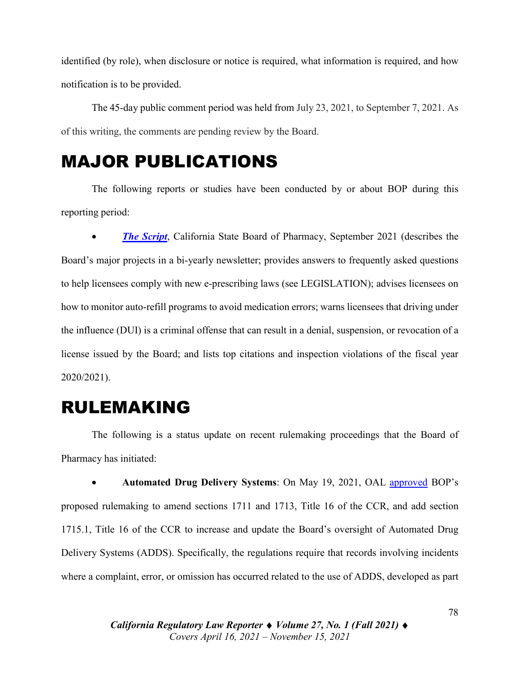identified (by role), when disclosure or notice is required, what information is required, and how notification is to be provided.

The 45-day public comment period was held from July 23, 2021, to September 7, 2021. As of this writing, the comments are pending review by the Board.

## MAJOR PUBLICATIONS

The following reports or studies have been conducted by or about BOP during this reporting period:

• *The [Script](https://www.pharmacy.ca.gov/publications/21_sep_script.pdf)*, California State Board of Pharmacy, September 2021 (describes the Board's major projects in a bi-yearly newsletter; provides answers to frequently asked questions to help licensees comply with new e-prescribing laws (see LEGISLATION); advises licensees on how to monitor auto-refill programs to avoid medication errors; warns licensees that driving under the influence (DUI) is a criminal offense that can result in a denial, suspension, or revocation of a license issued by the Board; and lists top citations and inspection violations of the fiscal year 2020/2021).

# RULEMAKING

The following is a status update on recent rulemaking proceedings that the Board of Pharmacy has initiated:

• **Automated Drug Delivery Systems**: On May 19, 2021, OAL [approved](https://drive.google.com/file/d/1WAJroN0WOhMsm0-_A04dytrIq-A0QuoR/view?usp=sharing) BOP's proposed rulemaking to amend sections 1711 and 1713, Title 16 of the CCR, and add section 1715.1, Title 16 of the CCR to increase and update the Board's oversight of Automated Drug Delivery Systems (ADDS). Specifically, the regulations require that records involving incidents where a complaint, error, or omission has occurred related to the use of ADDS, developed as part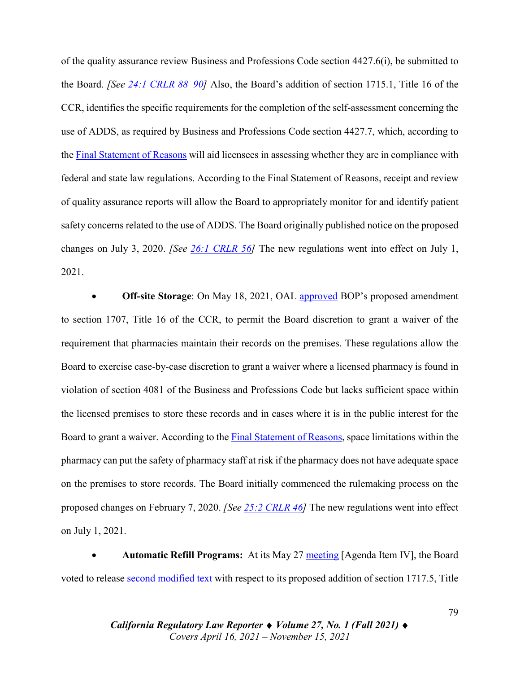of the quality assurance review Business and Professions Code section 4427.6(i), be submitted to the Board. *[See 24:1 CRLR [88–90\]](https://digital.sandiego.edu/cgi/viewcontent.cgi?article=1382&context=crlr)* Also, the Board's addition of section 1715.1, Title 16 of the CCR, identifies the specific requirements for the completion of the self-assessment concerning the use of ADDS, as required by Business and Professions Code section 4427.7, which, according to the Final [Statement](https://perma.cc/C7KD-QN48) of Reasons will aid licensees in assessing whether they are in compliance with federal and state law regulations. According to the Final Statement of Reasons, receipt and review of quality assurance reports will allow the Board to appropriately monitor for and identify patient safety concerns related to the use of ADDS. The Board originally published notice on the proposed changes on July 3, 2020. *[See 26:1 [CRLR](https://digital.sandiego.edu/cgi/viewcontent.cgi?article=3075&context=crlr) 56]* The new regulations went into effect on July 1, 2021.

• **Off-site Storage**: On May 18, 2021, OAL [approved](https://drive.google.com/file/d/1W5Ksq92x7DXm-78Utvo2YCOa2XjGbfKA/view?usp=sharing) BOP's proposed amendment to section 1707, Title 16 of the CCR, to permit the Board discretion to grant a waiver of the requirement that pharmacies maintain their records on the premises. These regulations allow the Board to exercise case-by-case discretion to grant a waiver where a licensed pharmacy is found in violation of section 4081 of the Business and Professions Code but lacks sufficient space within the licensed premises to store these records and in cases where it is in the public interest for the Board to grant a waiver. According to the Final [Statement](https://perma.cc/RV7M-W9S7) of Reasons, space limitations within the pharmacy can put the safety of pharmacy staff at risk if the pharmacy does not have adequate space on the premises to store records. The Board initially commenced the rulemaking process on the proposed changes on February 7, 2020. *[See 25:2 [CRLR](https://digital.sandiego.edu/cgi/viewcontent.cgi?article=3058&context=crlr) 46]* The new regulations went into effect on July 1, 2021.

• **Automatic Refill Programs:** At its May 27 [meeting](https://perma.cc/P6AM-DPEE) [Agenda Item IV], the Board voted to release [second modified text](https://perma.cc/LKD5-T4HS) with respect to its proposed addition of section 1717.5, Title

> *California Regulatory Law Reporter* ♦ *Volume 27, No. 1 (Fall 2021)* ♦ *Covers April 16, 2021 – November 15, 2021*

79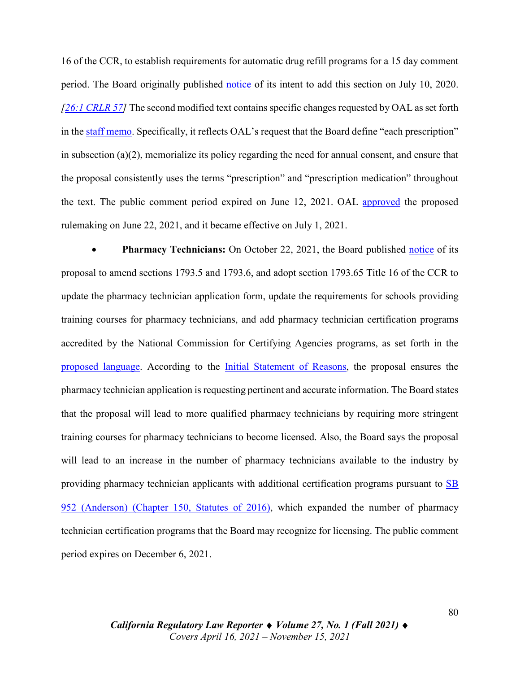16 of the CCR, to establish requirements for automatic drug refill programs for a 15 day comment period. The Board originally published [notice](https://perma.cc/B8NG-9N7H) of its intent to add this section on July 10, 2020. *[\[26:1 CRLR 57\]](https://digital.sandiego.edu/cgi/viewcontent.cgi?article=3075&context=crlr)* The second modified text contains specific changes requested by OAL as set forth in the [staff memo.](https://perma.cc/4ACM-5YXC) Specifically, it reflects OAL's request that the Board define "each prescription" in subsection (a)(2), memorialize its policy regarding the need for annual consent, and ensure that the proposal consistently uses the terms "prescription" and "prescription medication" throughout the text. The public comment period expired on June 12, 2021. OAL [approved](https://drive.google.com/file/d/1WCFf5xeMmOpE5C3uyV0zsQOUu1Q_yY4Y/view?usp=sharing) the proposed rulemaking on June 22, 2021, and it became effective on July 1, 2021.

• **Pharmacy Technicians:** On October 22, 2021, the Board published [notice](https://perma.cc/T843-SHJP) of its proposal to amend sections 1793.5 and 1793.6, and adopt section 1793.65 Title 16 of the CCR to update the pharmacy technician application form, update the requirements for schools providing training courses for pharmacy technicians, and add pharmacy technician certification programs accredited by the National Commission for Certifying Agencies programs, as set forth in the proposed [language.](https://perma.cc/Y8FP-TDSH) According to the Initial [Statement](https://perma.cc/T2U7-JS4Y) of Reasons, the proposal ensures the pharmacy technician application is requesting pertinent and accurate information. The Board states that the proposal will lead to more qualified pharmacy technicians by requiring more stringent training courses for pharmacy technicians to become licensed. Also, the Board says the proposal will lead to an increase in the number of pharmacy technicians available to the industry by providing pharmacy technician applicants with additional certification programs pursuant to [SB](https://leginfo.legislature.ca.gov/faces/billNavClient.xhtml?bill_id=201520160SB952) 952 [\(Anderson\)](https://leginfo.legislature.ca.gov/faces/billNavClient.xhtml?bill_id=201520160SB952) (Chapter 150, Statutes of 2016), which expanded the number of pharmacy technician certification programs that the Board may recognize for licensing. The public comment period expires on December 6, 2021.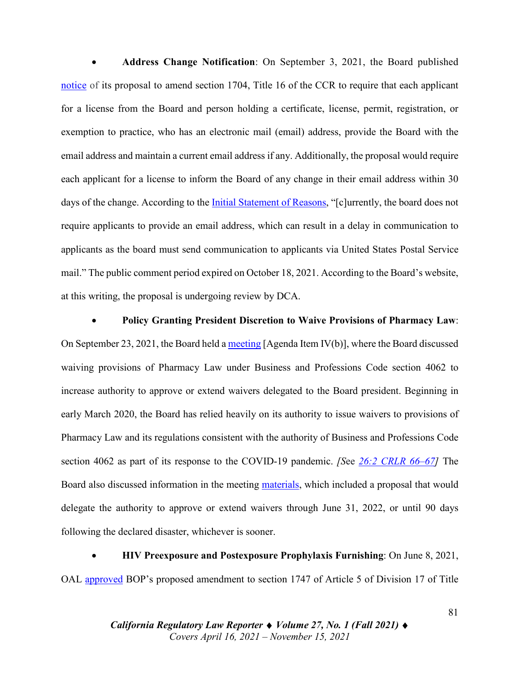• **Address Change Notification**: On September 3, 2021, the Board published [notice](https://perma.cc/B8Q5-LM48) of its proposal to amend section 1704, Title 16 of the CCR to require that each applicant for a license from the Board and person holding a certificate, license, permit, registration, or exemption to practice, who has an electronic mail (email) address, provide the Board with the email address and maintain a current email address if any. Additionally, the proposal would require each applicant for a license to inform the Board of any change in their email address within 30 days of the change. According to the Initial [Statement](https://perma.cc/N3SX-X72B) of Reasons, "[c]urrently, the board does not require applicants to provide an email address, which can result in a delay in communication to applicants as the board must send communication to applicants via United States Postal Service mail." The public comment period expired on October 18, 2021. According to the Board's website, at this writing, the proposal is undergoing review by DCA.

• **Policy Granting President Discretion to Waive Provisions of Pharmacy Law**: On September 23, 2021, the Board held a [meeting](https://perma.cc/2U9R-6XRH) [Agenda Item IV(b)], where the Board discussed waiving provisions of Pharmacy Law under Business and Professions Code section 4062 to increase authority to approve or extend waivers delegated to the Board president. Beginning in early March 2020, the Board has relied heavily on its authority to issue waivers to provisions of Pharmacy Law and its regulations consistent with the authority of Business and Professions Code section 4062 as part of its response to the COVID-19 pandemic. *[S*ee *26:2 CRLR [66–67\]](https://digital.sandiego.edu/cgi/viewcontent.cgi?article=3089&context=crlr)* The Board also discussed information in the meeting [materials,](https://perma.cc/WE2S-7HF6) which included a proposal that would delegate the authority to approve or extend waivers through June 31, 2022, or until 90 days following the declared disaster, whichever is sooner.

• **HIV Preexposure and Postexposure Prophylaxis Furnishing**: On June 8, 2021, OAL [approved](https://drive.google.com/file/d/1W2Qkfhh8YmvIPZNVLQgtvf9AtX4WsWNR/view?usp=sharing) BOP's proposed amendment to section 1747 of Article 5 of Division 17 of Title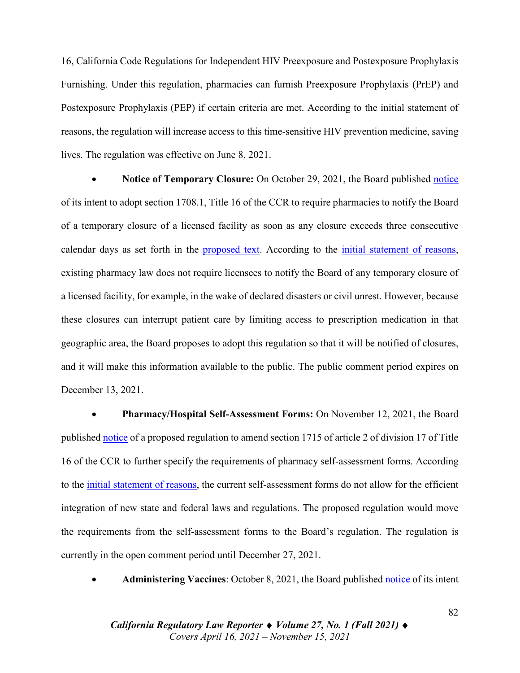16, California Code Regulations for Independent HIV Preexposure and Postexposure Prophylaxis Furnishing. Under this regulation, pharmacies can furnish Preexposure Prophylaxis (PrEP) and Postexposure Prophylaxis (PEP) if certain criteria are met. According to the initial statement of reasons, the regulation will increase access to this time-sensitive HIV prevention medicine, saving lives. The regulation was effective on June 8, 2021.

• **Notice of Temporary Closure:** On October 29, 2021, the Board published [notice](https://perma.cc/RYL5-6UTB) of its intent to adopt section 1708.1, Title 16 of the CCR to require pharmacies to notify the Board of a temporary closure of a licensed facility as soon as any closure exceeds three consecutive calendar days as set forth in the [proposed](https://perma.cc/PH4Q-NN6U) text. According to the initial [statement](https://perma.cc/8EDS-TZZH) of reasons, existing pharmacy law does not require licensees to notify the Board of any temporary closure of a licensed facility, for example, in the wake of declared disasters or civil unrest. However, because these closures can interrupt patient care by limiting access to prescription medication in that geographic area, the Board proposes to adopt this regulation so that it will be notified of closures, and it will make this information available to the public. The public comment period expires on December 13, 2021.

• **Pharmacy/Hospital Self-Assessment Forms:** On November 12, 2021, the Board published [notice](https://perma.cc/8LWZ-7SJ3) of a proposed regulation to amend section 1715 of article 2 of division 17 of Title 16 of the CCR to further specify the requirements of pharmacy self-assessment forms. According to the initial [statement](https://perma.cc/JR96-YU6P) of reasons, the current self-assessment forms do not allow for the efficient integration of new state and federal laws and regulations. The proposed regulation would move the requirements from the self-assessment forms to the Board's regulation. The regulation is currently in the open comment period until December 27, 2021.

• **Administering Vaccines**: October 8, 2021, the Board published [notice](https://perma.cc/KF42-EESM) of its intent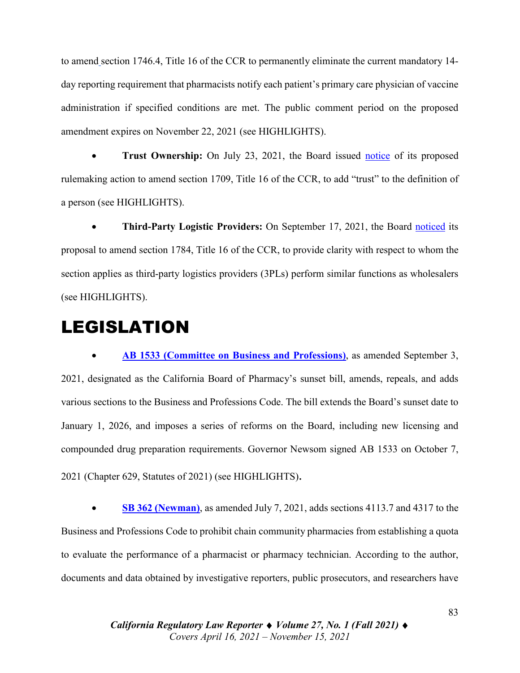to amend section 1746.4, Title 16 of the CCR to permanently eliminate the current mandatory 14 day reporting requirement that pharmacists notify each patient's primary care physician of vaccine administration if specified conditions are met. The public comment period on the proposed amendment expires on November 22, 2021 (see HIGHLIGHTS).

• **Trust Ownership:** On July 23, 2021, the Board issued [notice](https://perma.cc/7F9T-PUFJ) of its proposed rulemaking action to amend section 1709, Title 16 of the CCR, to add "trust" to the definition of a person (see HIGHLIGHTS).

• **Third-Party Logistic Providers:** On September 17, 2021, the Board [noticed](https://perma.cc/7RNZ-PPHC) its proposal to amend section 1784, Title 16 of the CCR, to provide clarity with respect to whom the section applies as third-party logistics providers (3PLs) perform similar functions as wholesalers (see HIGHLIGHTS).

# LEGISLATION

• **[AB 1533 \(Committee on Business and Professions\)](https://leginfo.legislature.ca.gov/faces/billNavClient.xhtml?bill_id=202120220AB1533)**, as amended September 3, 2021, designated as the California Board of Pharmacy's sunset bill, amends, repeals, and adds various sections to the Business and Professions Code. The bill extends the Board's sunset date to January 1, 2026, and imposes a series of reforms on the Board, including new licensing and compounded drug preparation requirements. Governor Newsom signed AB 1533 on October 7, 2021 (Chapter 629, Statutes of 2021) (see HIGHLIGHTS).

• **SB 362 [\(Newman\)](https://leginfo.legislature.ca.gov/faces/billNavClient.xhtml?bill_id=202120220SB362)**, as amended July 7, 2021, adds sections 4113.7 and 4317 to the Business and Professions Code to prohibit chain community pharmacies from establishing a quota to evaluate the performance of a pharmacist or pharmacy technician. According to the author, documents and data obtained by investigative reporters, public prosecutors, and researchers have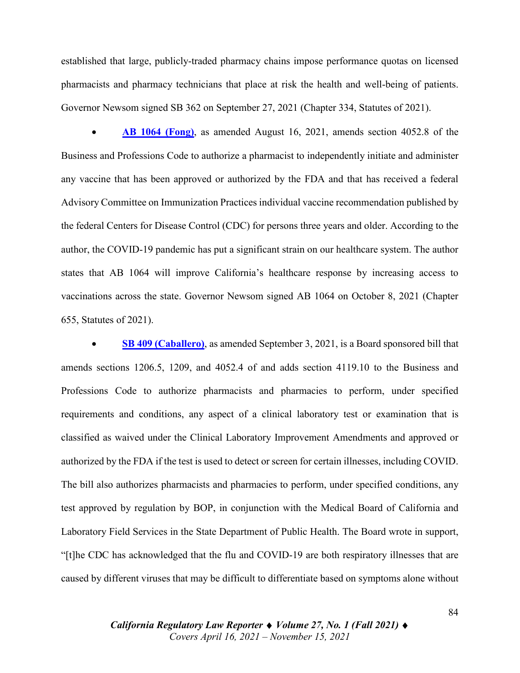established that large, publicly-traded pharmacy chains impose performance quotas on licensed pharmacists and pharmacy technicians that place at risk the health and well-being of patients. Governor Newsom signed SB 362 on September 27, 2021 (Chapter 334, Statutes of 2021).

• **AB 1064 [\(Fong\)](https://leginfo.legislature.ca.gov/faces/billTextClient.xhtml?bill_id=202120220AB1064)**, as amended August 16, 2021, amends section 4052.8 of the Business and Professions Code to authorize a pharmacist to independently initiate and administer any vaccine that has been approved or authorized by the FDA and that has received a federal Advisory Committee on Immunization Practices individual vaccine recommendation published by the federal Centers for Disease Control (CDC) for persons three years and older. According to the author, the COVID-19 pandemic has put a significant strain on our healthcare system. The author states that AB 1064 will improve California's healthcare response by increasing access to vaccinations across the state. Governor Newsom signed AB 1064 on October 8, 2021 (Chapter 655, Statutes of 2021).

• **SB 409 [\(Caballero\)](https://leginfo.legislature.ca.gov/faces/billNavClient.xhtml?bill_id=202120220SB409)**, as amended September 3, 2021, is a Board sponsored bill that amends sections 1206.5, 1209, and 4052.4 of and adds section 4119.10 to the Business and Professions Code to authorize pharmacists and pharmacies to perform, under specified requirements and conditions, any aspect of a clinical laboratory test or examination that is classified as waived under the Clinical Laboratory Improvement Amendments and approved or authorized by the FDA if the test is used to detect or screen for certain illnesses, including COVID. The bill also authorizes pharmacists and pharmacies to perform, under specified conditions, any test approved by regulation by BOP, in conjunction with the Medical Board of California and Laboratory Field Services in the State Department of Public Health. The Board wrote in support, "[t]he CDC has acknowledged that the flu and COVID-19 are both respiratory illnesses that are caused by different viruses that may be difficult to differentiate based on symptoms alone without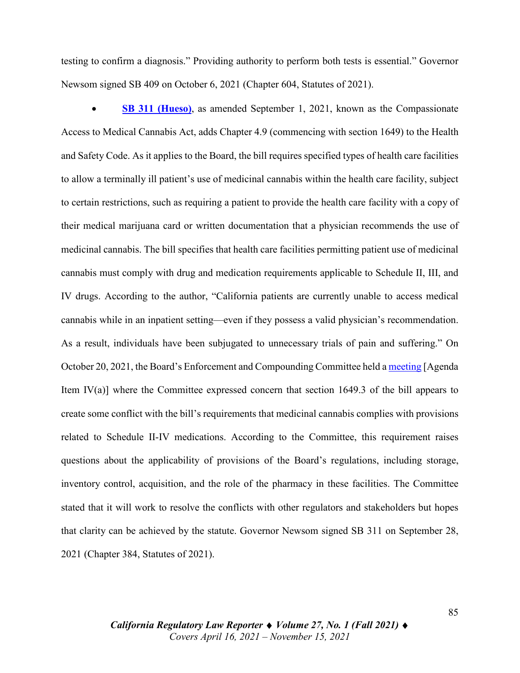testing to confirm a diagnosis." Providing authority to perform both tests is essential." Governor Newsom signed SB 409 on October 6, 2021 (Chapter 604, Statutes of 2021).

• **SB 311 [\(Hueso\)](https://leginfo.legislature.ca.gov/faces/billNavClient.xhtml?bill_id=202120220SB311)**, as amended September 1, 2021, known as the Compassionate Access to Medical Cannabis Act, adds Chapter 4.9 (commencing with section 1649) to the Health and Safety Code. As it applies to the Board, the bill requires specified types of health care facilities to allow a terminally ill patient's use of medicinal cannabis within the health care facility, subject to certain restrictions, such as requiring a patient to provide the health care facility with a copy of their medical marijuana card or written documentation that a physician recommends the use of medicinal cannabis. The bill specifies that health care facilities permitting patient use of medicinal cannabis must comply with drug and medication requirements applicable to Schedule II, III, and IV drugs. According to the author, "California patients are currently unable to access medical cannabis while in an inpatient setting—even if they possess a valid physician's recommendation. As a result, individuals have been subjugated to unnecessary trials of pain and suffering." On October 20, 2021, the Board's Enforcement and Compounding Committee held a [meeting](https://perma.cc/EY6W-5PBP) [Agenda Item IV(a)] where the Committee expressed concern that section 1649.3 of the bill appears to create some conflict with the bill's requirements that medicinal cannabis complies with provisions related to Schedule II-IV medications. According to the Committee, this requirement raises questions about the applicability of provisions of the Board's regulations, including storage, inventory control, acquisition, and the role of the pharmacy in these facilities. The Committee stated that it will work to resolve the conflicts with other regulators and stakeholders but hopes that clarity can be achieved by the statute. Governor Newsom signed SB 311 on September 28, 2021 (Chapter 384, Statutes of 2021).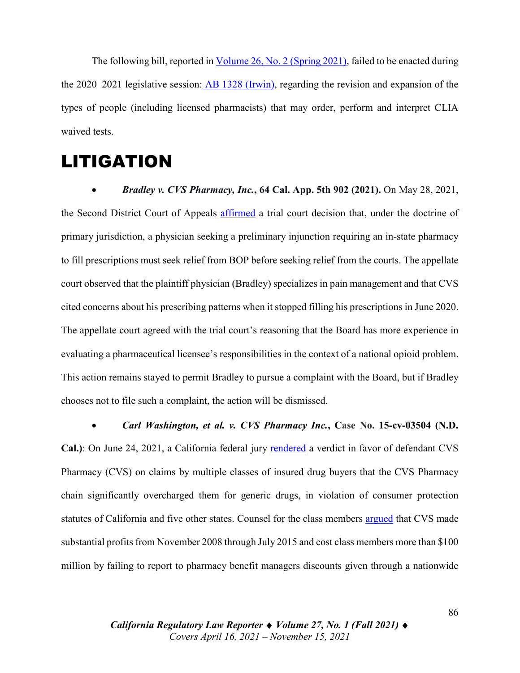The following bill, reported in [Volume](https://digital.sandiego.edu/cgi/viewcontent.cgi?article=3089&context=crlr) 26, No. 2 (Spring 2021), failed to be enacted during the 2020–2021 legislative session: AB [1328](https://leginfo.legislature.ca.gov/faces/billHistoryClient.xhtml?bill_id=202120220AB1328) (Irwin), regarding the revision and expansion of the types of people (including licensed pharmacists) that may order, perform and interpret CLIA waived tests.

# LITIGATION

• *Bradley v. CVS Pharmacy, Inc.***, 64 Cal. App. 5th 902 (2021).** On May 28, 2021, the Second District Court of Appeals [affirmed](https://drive.google.com/file/d/1VYUE-MJaQEZ11yup1c-9k6Q_kD_wMw5b/view?usp=sharing) a trial court decision that, under the doctrine of primary jurisdiction, a physician seeking a preliminary injunction requiring an in-state pharmacy to fill prescriptions must seek relief from BOP before seeking relief from the courts. The appellate court observed that the plaintiff physician (Bradley) specializes in pain management and that CVS cited concerns about his prescribing patterns when it stopped filling his prescriptions in June 2020. The appellate court agreed with the trial court's reasoning that the Board has more experience in evaluating a pharmaceutical licensee's responsibilities in the context of a national opioid problem. This action remains stayed to permit Bradley to pursue a complaint with the Board, but if Bradley chooses not to file such a complaint, the action will be dismissed.

• *Carl Washington, et al. v. CVS Pharmacy Inc.***, Case No. 15-cv-03504 (N.D. Cal.)**: On June 24, 2021, a California federal jury [rendered](https://drive.google.com/file/d/1VcQ7_KLPrWh0jCGuwCdV8i8zM_5udp5Q/view?usp=sharing) a verdict in favor of defendant CVS Pharmacy (CVS) on claims by multiple classes of insured drug buyers that the CVS Pharmacy chain significantly overcharged them for generic drugs, in violation of consumer protection statutes of California and five other states. Counsel for the class members [argued](https://drive.google.com/file/d/1VjAtWZsYF3P9XZ82hdmtXc-yw6MsPf3L/view?usp=sharing) that CVS made substantial profits from November 2008 through July 2015 and cost class members more than \$100 million by failing to report to pharmacy benefit managers discounts given through a nationwide